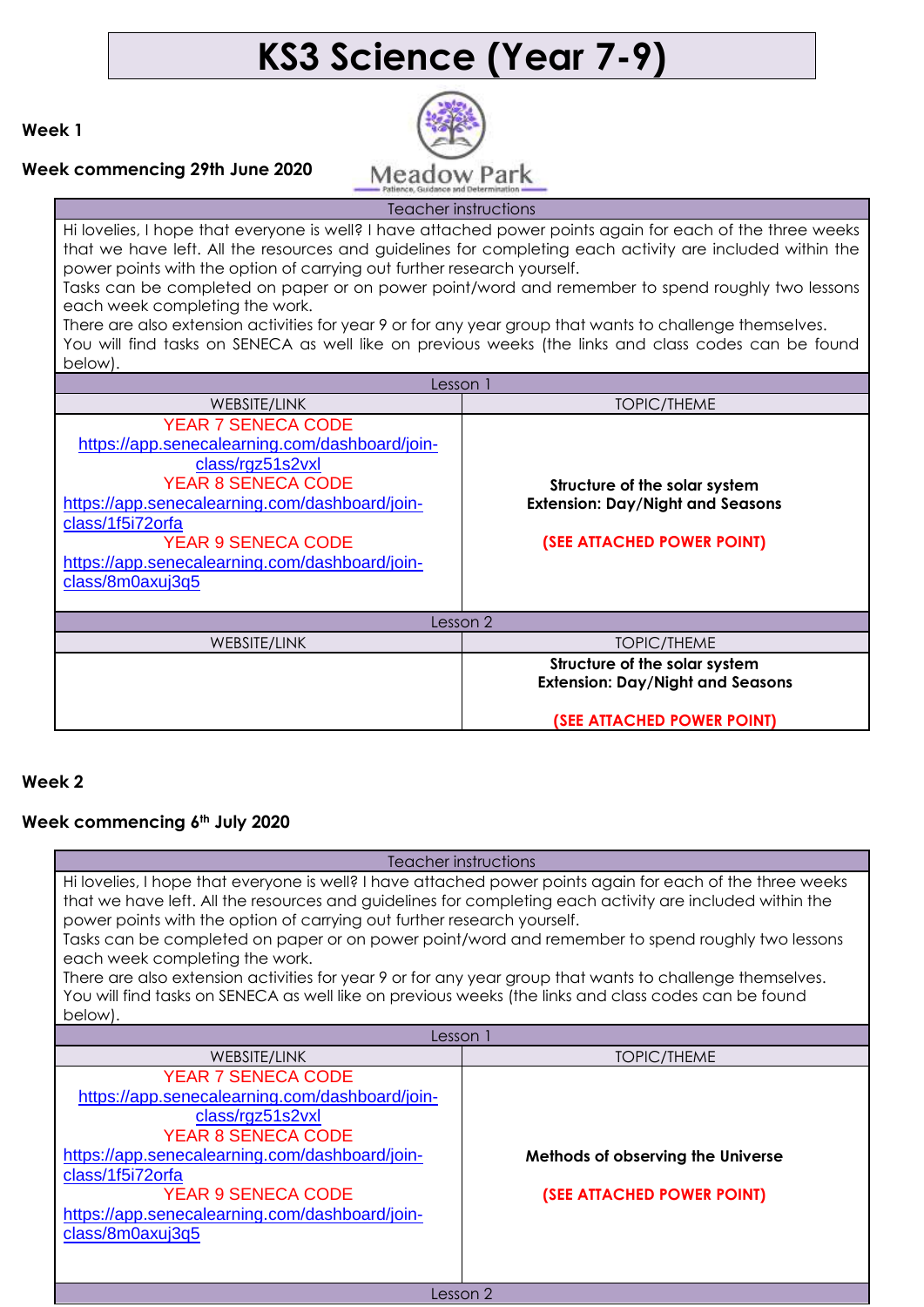# **KS3 Science (Year 7-9)**

**Week 1**



**Week commencing 29th June 2020**

Teacher instructions Hi lovelies, I hope that everyone is well? I have attached power points again for each of the three weeks that we have left. All the resources and guidelines for completing each activity are included within the power points with the option of carrying out further research yourself. Tasks can be completed on paper or on power point/word and remember to spend roughly two lessons each week completing the work. There are also extension activities for year 9 or for any year group that wants to challenge themselves. You will find tasks on SENECA as well like on previous weeks (the links and class codes can be found below). Lesson 1 WEBSITE/LINK TOPIC/THEME YEAR 7 SENECA CODE [https://app.senecalearning.com/dashboard/join](https://app.senecalearning.com/dashboard/join-class/rgz51s2vxl)[class/rgz51s2vxl](https://app.senecalearning.com/dashboard/join-class/rgz51s2vxl) YEAR 8 SENECA CODE [https://app.senecalearning.com/dashboard/join](https://app.senecalearning.com/dashboard/join-class/1f5i72orfa)[class/1f5i72orfa](https://app.senecalearning.com/dashboard/join-class/1f5i72orfa) YEAR 9 SENECA CODE [https://app.senecalearning.com/dashboard/join](https://app.senecalearning.com/dashboard/join-class/8m0axuj3q5)[class/8m0axuj3q5](https://app.senecalearning.com/dashboard/join-class/8m0axuj3q5) **Structure of the solar system Extension: Day/Night and Seasons (SEE ATTACHED POWER POINT)** Lesson 2 WEBSITE/LINK TOPIC/THEME

**Structure of the solar system Extension: Day/Night and Seasons**

**(SEE ATTACHED POWER POINT)**

### **Week 2**

#### **Week commencing 6th July 2020**

| Teacher instructions                                                                                                                                                                                                                                                                                                                                                                                                                                                                                                                                                                                                                                                  |                                                                 |  |
|-----------------------------------------------------------------------------------------------------------------------------------------------------------------------------------------------------------------------------------------------------------------------------------------------------------------------------------------------------------------------------------------------------------------------------------------------------------------------------------------------------------------------------------------------------------------------------------------------------------------------------------------------------------------------|-----------------------------------------------------------------|--|
| Hi lovelies, I hope that everyone is well? I have attached power points again for each of the three weeks<br>that we have left. All the resources and guidelines for completing each activity are included within the<br>power points with the option of carrying out further research yourself.<br>Tasks can be completed on paper or on power point/word and remember to spend roughly two lessons<br>each week completing the work.<br>There are also extension activities for year 9 or for any year group that wants to challenge themselves.<br>You will find tasks on SENECA as well like on previous weeks (the links and class codes can be found<br>below). |                                                                 |  |
| Lesson 1                                                                                                                                                                                                                                                                                                                                                                                                                                                                                                                                                                                                                                                              |                                                                 |  |
| <b>WEBSITE/LINK</b>                                                                                                                                                                                                                                                                                                                                                                                                                                                                                                                                                                                                                                                   | TOPIC/THEME                                                     |  |
| <b>YEAR 7 SENECA CODE</b><br>https://app.senecalearning.com/dashboard/join-<br>class/rgz51s2vxl<br><b>YEAR 8 SENECA CODE</b><br>https://app.senecalearning.com/dashboard/join-<br>class/1f5i72orfa<br><b>YEAR 9 SENECA CODE</b><br>https://app.senecalearning.com/dashboard/join-<br>class/8m0axuj3q5                                                                                                                                                                                                                                                                                                                                                                 | Methods of observing the Universe<br>(SEE ATTACHED POWER POINT) |  |
| Lesson 2                                                                                                                                                                                                                                                                                                                                                                                                                                                                                                                                                                                                                                                              |                                                                 |  |